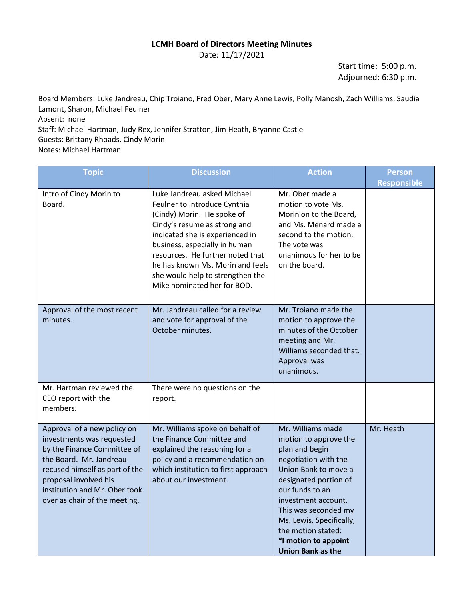## **LCMH Board of Directors Meeting Minutes**

Date: 11/17/2021

Start time: 5:00 p.m. Adjourned: 6:30 p.m.

Board Members: Luke Jandreau, Chip Troiano, Fred Ober, Mary Anne Lewis, Polly Manosh, Zach Williams, Saudia Lamont, Sharon, Michael Feulner Absent: none Staff: Michael Hartman, Judy Rex, Jennifer Stratton, Jim Heath, Bryanne Castle Guests: Brittany Rhoads, Cindy Morin Notes: Michael Hartman

| <b>Topic</b>                                                                                                                                                                                                                                    | <b>Discussion</b>                                                                                                                                                                                                                                                                                                                        | <b>Action</b>                                                                                                                                                                                                                                                                                                 | <b>Person</b><br><b>Responsible</b> |
|-------------------------------------------------------------------------------------------------------------------------------------------------------------------------------------------------------------------------------------------------|------------------------------------------------------------------------------------------------------------------------------------------------------------------------------------------------------------------------------------------------------------------------------------------------------------------------------------------|---------------------------------------------------------------------------------------------------------------------------------------------------------------------------------------------------------------------------------------------------------------------------------------------------------------|-------------------------------------|
| Intro of Cindy Morin to<br>Board.                                                                                                                                                                                                               | Luke Jandreau asked Michael<br>Feulner to introduce Cynthia<br>(Cindy) Morin. He spoke of<br>Cindy's resume as strong and<br>indicated she is experienced in<br>business, especially in human<br>resources. He further noted that<br>he has known Ms. Morin and feels<br>she would help to strengthen the<br>Mike nominated her for BOD. | Mr. Ober made a<br>motion to vote Ms.<br>Morin on to the Board,<br>and Ms. Menard made a<br>second to the motion.<br>The vote was<br>unanimous for her to be<br>on the board.                                                                                                                                 |                                     |
| Approval of the most recent<br>minutes.                                                                                                                                                                                                         | Mr. Jandreau called for a review<br>and vote for approval of the<br>October minutes.                                                                                                                                                                                                                                                     | Mr. Troiano made the<br>motion to approve the<br>minutes of the October<br>meeting and Mr.<br>Williams seconded that.<br>Approval was<br>unanimous.                                                                                                                                                           |                                     |
| Mr. Hartman reviewed the<br>CEO report with the<br>members.                                                                                                                                                                                     | There were no questions on the<br>report.                                                                                                                                                                                                                                                                                                |                                                                                                                                                                                                                                                                                                               |                                     |
| Approval of a new policy on<br>investments was requested<br>by the Finance Committee of<br>the Board. Mr. Jandreau<br>recused himself as part of the<br>proposal involved his<br>institution and Mr. Ober took<br>over as chair of the meeting. | Mr. Williams spoke on behalf of<br>the Finance Committee and<br>explained the reasoning for a<br>policy and a recommendation on<br>which institution to first approach<br>about our investment.                                                                                                                                          | Mr. Williams made<br>motion to approve the<br>plan and begin<br>negotiation with the<br>Union Bank to move a<br>designated portion of<br>our funds to an<br>investment account.<br>This was seconded my<br>Ms. Lewis. Specifically,<br>the motion stated:<br>"I motion to appoint<br><b>Union Bank as the</b> | Mr. Heath                           |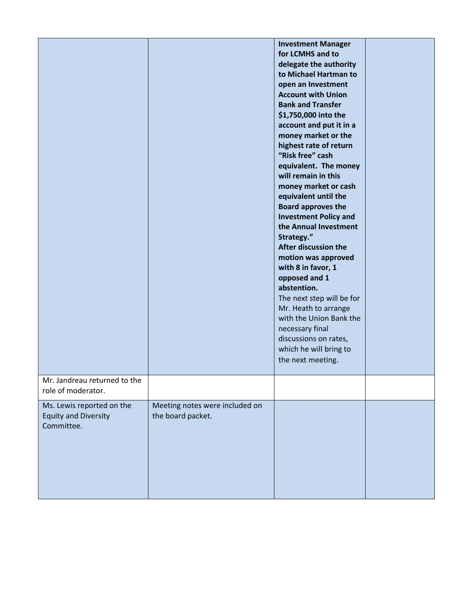|                                                                        |                                                     | <b>Investment Manager</b><br>for LCMHS and to<br>delegate the authority<br>to Michael Hartman to<br>open an Investment<br><b>Account with Union</b><br><b>Bank and Transfer</b><br>\$1,750,000 into the<br>account and put it in a<br>money market or the<br>highest rate of return<br>"Risk free" cash<br>equivalent. The money<br>will remain in this<br>money market or cash<br>equivalent until the<br><b>Board approves the</b><br><b>Investment Policy and</b><br>the Annual Investment<br>Strategy."<br>After discussion the<br>motion was approved<br>with 8 in favor, 1<br>opposed and 1<br>abstention.<br>The next step will be for<br>Mr. Heath to arrange<br>with the Union Bank the<br>necessary final<br>discussions on rates,<br>which he will bring to<br>the next meeting. |  |
|------------------------------------------------------------------------|-----------------------------------------------------|---------------------------------------------------------------------------------------------------------------------------------------------------------------------------------------------------------------------------------------------------------------------------------------------------------------------------------------------------------------------------------------------------------------------------------------------------------------------------------------------------------------------------------------------------------------------------------------------------------------------------------------------------------------------------------------------------------------------------------------------------------------------------------------------|--|
| Mr. Jandreau returned to the<br>role of moderator.                     |                                                     |                                                                                                                                                                                                                                                                                                                                                                                                                                                                                                                                                                                                                                                                                                                                                                                             |  |
| Ms. Lewis reported on the<br><b>Equity and Diversity</b><br>Committee. | Meeting notes were included on<br>the board packet. |                                                                                                                                                                                                                                                                                                                                                                                                                                                                                                                                                                                                                                                                                                                                                                                             |  |